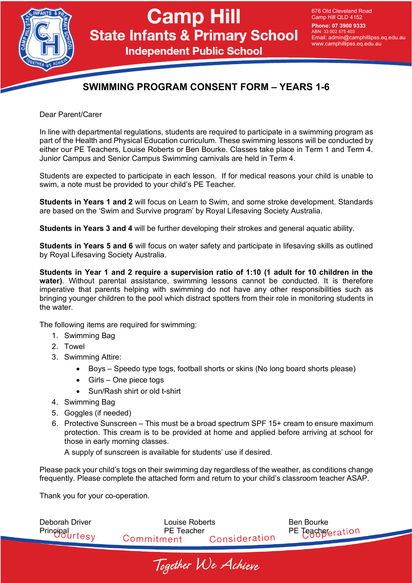

# **Camp Hill State Infants & Primary School**

**Independent Public School** 

676 Old Cleveland Road Camp Hill QLD 4152

**Phone: 07 3900 9333** ABN: 33 502 575 403 Email: admin@camphillipss.eq.edu.au www.camphillipss.eq.edu.au

### **SWIMMING PROGRAM CONSENT FORM – YEARS 1-6**

Dear Parent/Carer

In line with departmental regulations, students are required to participate in a swimming program as part of the Health and Physical Education curriculum. These swimming lessons will be conducted by either our PE Teachers, Louise Roberts or Ben Bourke. Classes take place in Term 1 and Term 4. Junior Campus and Senior Campus Swimming carnivals are held in Term 4.

Students are expected to participate in each lesson. If for medical reasons your child is unable to swim, a note must be provided to your child's PE Teacher.

**Students in Years 1 and 2** will focus on Learn to Swim, and some stroke development. Standards are based on the 'Swim and Survive program' by Royal Lifesaving Society Australia.

**Students in Years 3 and 4** will be further developing their strokes and general aquatic ability.

**Students in Years 5 and 6** will focus on water safety and participate in lifesaving skills as outlined by Royal Lifesaving Society Australia.

**Students in Year 1 and 2 require a supervision ratio of 1:10 (1 adult for 10 children in the water)**. Without parental assistance, swimming lessons cannot be conducted. It is therefore imperative that parents helping with swimming do not have any other responsibilities such as bringing younger children to the pool which distract spotters from their role in monitoring students in the water.

The following items are required for swimming:

- 1. Swimming Bag
- 2. Towel
- 3. Swimming Attire:
	- Boys Speedo type togs, football shorts or skins (No long board shorts please)
	- Girls One piece togs
	- Sun/Rash shirt or old t-shirt
- 4. Swimming Bag
- 5. Goggles (if needed)
- 6. Protective Sunscreen This must be a broad spectrum SPF 15+ cream to ensure maximum protection. This cream is to be provided at home and applied before arriving at school for those in early morning classes.

A supply of sunscreen is available for students' use if desired.

Please pack your child's togs on their swimming day regardless of the weather, as conditions change frequently. Please complete the attached form and return to your child's classroom teacher ASAP.

Thank you for your co-operation.

| Deborah Driver         | Louise Roberts    |               | Ben Bourke         |
|------------------------|-------------------|---------------|--------------------|
| <b>Principal rtesy</b> | <b>PE</b> Teacher |               | PE Teachgreeration |
|                        | Commitment        | Consideration |                    |